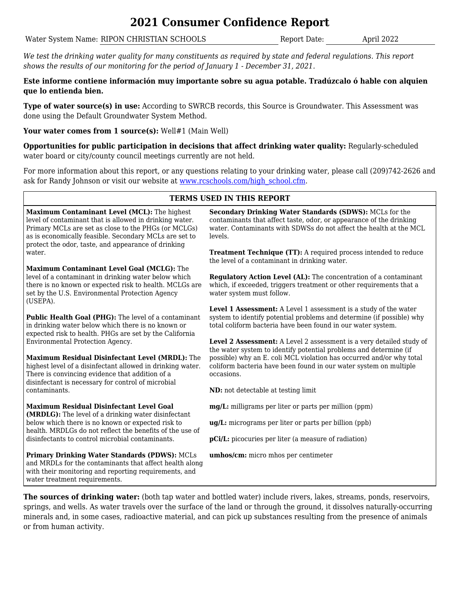# **2021 Consumer Confidence Report**

Water System Name: RIPON CHRISTIAN SCHOOLS Report Date: April 2022

*We test the drinking water quality for many constituents as required by state and federal regulations. This report shows the results of our monitoring for the period of January 1 - December 31, 2021.*

## **Este informe contiene información muy importante sobre su agua potable. Tradúzcalo ó hable con alquien que lo entienda bien.**

**Type of water source(s) in use:** According to SWRCB records, this Source is Groundwater. This Assessment was done using the Default Groundwater System Method.

Your water comes from 1 source(s): Well#1 (Main Well)

**Opportunities for public participation in decisions that affect drinking water quality:** Regularly-scheduled water board or city/county council meetings currently are not held.

For more information about this report, or any questions relating to your drinking water, please call (209)742-2626 and ask for Randy Johnson or visit our website at [www.rcschools.com/high\\_school.cfm.](http://192.168.1.252/fgl/Page2/SectionCustomer/CCR/www.rcschools.com/high_school.cfm)

## **TERMS USED IN THIS REPORT**

**Maximum Contaminant Level (MCL):** The highest level of contaminant that is allowed in drinking water. Primary MCLs are set as close to the PHGs (or MCLGs) as is economically feasible. Secondary MCLs are set to protect the odor, taste, and appearance of drinking water.

**Maximum Contaminant Level Goal (MCLG):** The level of a contaminant in drinking water below which there is no known or expected risk to health. MCLGs are set by the U.S. Environmental Protection Agency (USEPA).

**Public Health Goal (PHG):** The level of a contaminant in drinking water below which there is no known or expected risk to health. PHGs are set by the California Environmental Protection Agency.

**Maximum Residual Disinfectant Level (MRDL):** The highest level of a disinfectant allowed in drinking water. There is convincing evidence that addition of a disinfectant is necessary for control of microbial contaminants.

**Maximum Residual Disinfectant Level Goal (MRDLG):** The level of a drinking water disinfectant below which there is no known or expected risk to health. MRDLGs do not reflect the benefits of the use of disinfectants to control microbial contaminants.

**Primary Drinking Water Standards (PDWS):** MCLs and MRDLs for the contaminants that affect health along with their monitoring and reporting requirements, and water treatment requirements.

**Secondary Drinking Water Standards (SDWS):** MCLs for the contaminants that affect taste, odor, or appearance of the drinking water. Contaminants with SDWSs do not affect the health at the MCL levels.

**Treatment Technique (TT):** A required process intended to reduce the level of a contaminant in drinking water.

**Regulatory Action Level (AL):** The concentration of a contaminant which, if exceeded, triggers treatment or other requirements that a water system must follow.

**Level 1 Assessment:** A Level 1 assessment is a study of the water system to identify potential problems and determine (if possible) why total coliform bacteria have been found in our water system.

**Level 2 Assessment:** A Level 2 assessment is a very detailed study of the water system to identify potential problems and determine (if possible) why an E. coli MCL violation has occurred and/or why total coliform bacteria have been found in our water system on multiple occasions.

**ND:** not detectable at testing limit

**mg/L:** milligrams per liter or parts per million (ppm)

**ug/L:** micrograms per liter or parts per billion (ppb)

**pCi/L:** picocuries per liter (a measure of radiation)

**umhos/cm:** micro mhos per centimeter

**The sources of drinking water:** (both tap water and bottled water) include rivers, lakes, streams, ponds, reservoirs, springs, and wells. As water travels over the surface of the land or through the ground, it dissolves naturally-occurring minerals and, in some cases, radioactive material, and can pick up substances resulting from the presence of animals or from human activity.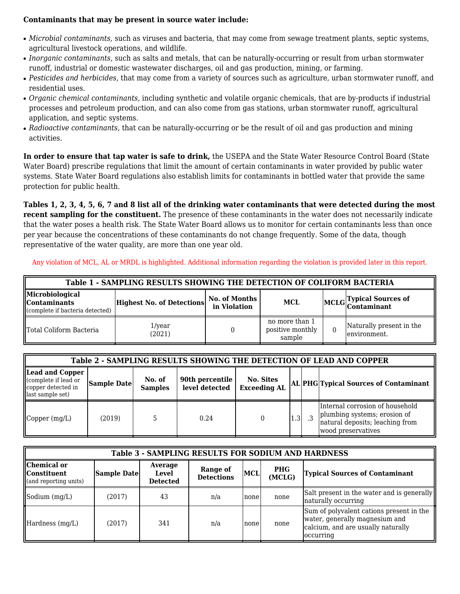### **Contaminants that may be present in source water include:**

- *Microbial contaminants,* such as viruses and bacteria, that may come from sewage treatment plants, septic systems, agricultural livestock operations, and wildlife.
- *Inorganic contaminants,* such as salts and metals, that can be naturally-occurring or result from urban stormwater runoff, industrial or domestic wastewater discharges, oil and gas production, mining, or farming.
- *Pesticides and herbicides,* that may come from a variety of sources such as agriculture, urban stormwater runoff, and residential uses.
- *Organic chemical contaminants,* including synthetic and volatile organic chemicals, that are by-products if industrial processes and petroleum production, and can also come from gas stations, urban stormwater runoff, agricultural application, and septic systems.
- *Radioactive contaminants,* that can be naturally-occurring or be the result of oil and gas production and mining activities.

**In order to ensure that tap water is safe to drink,** the USEPA and the State Water Resource Control Board (State Water Board) prescribe regulations that limit the amount of certain contaminants in water provided by public water systems. State Water Board regulations also establish limits for contaminants in bottled water that provide the same protection for public health.

**Tables 1, 2, 3, 4, 5, 6, 7 and 8 list all of the drinking water contaminants that were detected during the most recent sampling for the constituent.** The presence of these contaminants in the water does not necessarily indicate that the water poses a health risk. The State Water Board allows us to monitor for certain contaminants less than once per year because the concentrations of these contaminants do not change frequently. Some of the data, though representative of the water quality, are more than one year old.

Any violation of MCL, AL or MRDL is highlighted. Additional information regarding the violation is provided later in this report.

| Table 1 - SAMPLING RESULTS SHOWING THE DETECTION OF COLIFORM BACTERIA          |                                  |                               |                                              |  |                                           |  |  |  |  |  |
|--------------------------------------------------------------------------------|----------------------------------|-------------------------------|----------------------------------------------|--|-------------------------------------------|--|--|--|--|--|
| Microbiological<br>$\mathbb I$ Contaminants<br>(complete if bacteria detected) | <b>Highest No. of Detections</b> | No. of Months<br>in Violation | MCL                                          |  | MCLG Typical Sources of                   |  |  |  |  |  |
| Total Coliform Bacteria                                                        | 1/year<br>(2021)                 |                               | no more than 1<br>positive monthly<br>sample |  | Naturally present in the<br>lenvironment. |  |  |  |  |  |

|                                                                                  | Table 2 - SAMPLING RESULTS SHOWING THE DETECTION OF LEAD AND COPPER |                          |                                   |                                         |     |  |                                                                                                                          |  |  |  |  |
|----------------------------------------------------------------------------------|---------------------------------------------------------------------|--------------------------|-----------------------------------|-----------------------------------------|-----|--|--------------------------------------------------------------------------------------------------------------------------|--|--|--|--|
| Lead and Copper<br>complete if lead or<br>copper detected in<br>last sample set) | Sample Date                                                         | No. of<br><b>Samples</b> | 90th percentile<br>level detected | <b>No. Sites</b><br><b>Exceeding AL</b> |     |  | AL PHG Typical Sources of Contaminant                                                                                    |  |  |  |  |
| $\Box$ Copper $(mg/L)$                                                           | (2019)                                                              |                          | 0.24                              |                                         | 1.3 |  | Internal corrosion of household<br>plumbing systems; erosion of<br>natural deposits; leaching from<br>wood preservatives |  |  |  |  |

|                                                              | <b>Table 3 - SAMPLING RESULTS FOR SODIUM AND HARDNESS</b> |                                     |                                      |            |                      |                                                                                                                               |  |  |  |  |  |  |
|--------------------------------------------------------------|-----------------------------------------------------------|-------------------------------------|--------------------------------------|------------|----------------------|-------------------------------------------------------------------------------------------------------------------------------|--|--|--|--|--|--|
| Chemical or<br><b>I</b> Constituent<br>(and reporting units) | Sample Date                                               | Average<br>Level<br><b>Detected</b> | <b>Range of</b><br><b>Detections</b> | <b>MCL</b> | <b>PHG</b><br>(MCLG) | <b>Typical Sources of Contaminant</b>                                                                                         |  |  |  |  |  |  |
| $\mathsf{Sodium}\left(\frac{mg}{L}\right)$                   | (2017)                                                    | 43                                  | n/a                                  | none       | none                 | Salt present in the water and is generally<br>naturally occurring                                                             |  |  |  |  |  |  |
| Hardness (mg/L)                                              | (2017)                                                    | 341                                 | n/a                                  | none       | none                 | Sum of polyvalent cations present in the<br>water, generally magnesium and<br>calcium, and are usually naturally<br>occurring |  |  |  |  |  |  |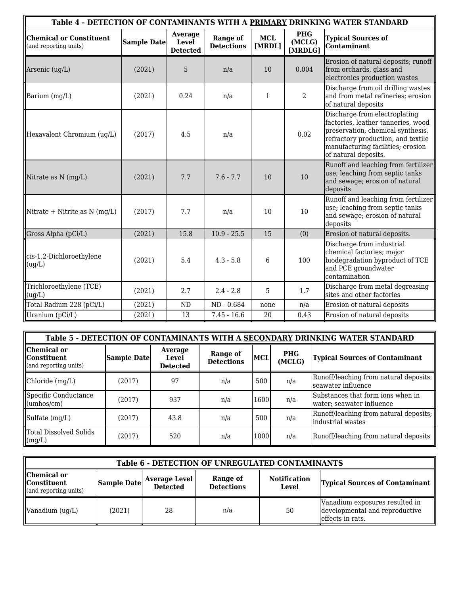|                                                         |             |                                     |                                      |                      |                                 | Table 4 - DETECTION OF CONTAMINANTS WITH A PRIMARY DRINKING WATER STANDARD                                                                                                                                  |
|---------------------------------------------------------|-------------|-------------------------------------|--------------------------------------|----------------------|---------------------------------|-------------------------------------------------------------------------------------------------------------------------------------------------------------------------------------------------------------|
| <b>Chemical or Constituent</b><br>(and reporting units) | Sample Date | Average<br>Level<br><b>Detected</b> | <b>Range of</b><br><b>Detections</b> | <b>MCL</b><br>[MRDL] | <b>PHG</b><br>(MCLG)<br>[MRDLG] | <b>Typical Sources of</b><br><b>Contaminant</b>                                                                                                                                                             |
| Arsenic (ug/L)                                          | (2021)      | 5                                   | n/a                                  | 10                   | 0.004                           | Erosion of natural deposits; runoff<br>from orchards, glass and<br>electronics production wastes                                                                                                            |
| Barium (mg/L)                                           | (2021)      | 0.24                                | n/a                                  | 1                    | $\overline{2}$                  | Discharge from oil drilling wastes<br>and from metal refineries; erosion<br>of natural deposits                                                                                                             |
| Hexavalent Chromium (ug/L)                              | (2017)      | 4.5                                 | n/a                                  |                      | 0.02                            | Discharge from electroplating<br>factories, leather tanneries, wood<br>preservation, chemical synthesis,<br>refractory production, and textile<br>manufacturing facilities; erosion<br>of natural deposits. |
| Nitrate as N (mg/L)                                     | (2021)      | 7.7                                 | $7.6 - 7.7$                          | 10                   | 10                              | Runoff and leaching from fertilizer<br>use; leaching from septic tanks<br>and sewage; erosion of natural<br>deposits                                                                                        |
| Nitrate + Nitrite as $N$ (mg/L)                         | (2017)      | 7.7                                 | n/a                                  | 10                   | 10                              | Runoff and leaching from fertilizer<br>use; leaching from septic tanks<br>and sewage; erosion of natural<br>deposits                                                                                        |
| Gross Alpha (pCi/L)                                     | (2021)      | 15.8                                | $10.9 - 25.5$                        | 15                   | (0)                             | Erosion of natural deposits.                                                                                                                                                                                |
| cis-1,2-Dichloroethylene<br>(ug/L)                      | (2021)      | 5.4                                 | $4.3 - 5.8$                          | 6                    | 100                             | Discharge from industrial<br>chemical factories; major<br>biodegradation byproduct of TCE<br>and PCE groundwater<br>contamination                                                                           |
| Trichloroethylene (TCE)<br>(ug/L)                       | (2021)      | 2.7                                 | $2.4 - 2.8$                          | 5                    | 1.7                             | Discharge from metal degreasing<br>sites and other factories                                                                                                                                                |
| Total Radium 228 (pCi/L)                                | (2021)      | <b>ND</b>                           | ND - 0.684                           | none                 | n/a                             | Erosion of natural deposits                                                                                                                                                                                 |
| Uranium (pCi/L)                                         | (2021)      | 13                                  | $7.45 - 16.6$                        | 20                   | 0.43                            | Erosion of natural deposits                                                                                                                                                                                 |

|                                                               | Table 5 - DETECTION OF CONTAMINANTS WITH A SECONDARY DRINKING WATER STANDARD |                                     |                               |      |                      |                                                                |  |  |  |  |  |
|---------------------------------------------------------------|------------------------------------------------------------------------------|-------------------------------------|-------------------------------|------|----------------------|----------------------------------------------------------------|--|--|--|--|--|
| Chemical or<br><b>I</b> IConstituent<br>(and reporting units) | Sample Date                                                                  | Average<br>Level<br><b>Detected</b> | Range of<br><b>Detections</b> | MCL  | <b>PHG</b><br>(MCLG) | <b>Typical Sources of Contaminant</b>                          |  |  |  |  |  |
| Chloride(mg/L)                                                | (2017)                                                                       | 97                                  | n/a                           | 500  | n/a                  | Runoff/leaching from natural deposits;<br>lseawater influence  |  |  |  |  |  |
| Specific Conductance<br>$\mathbf{u}$ (umhos/cm)               | (2017)                                                                       | 937                                 | n/a                           | 1600 | n/a                  | Substances that form ions when in<br>water; seawater influence |  |  |  |  |  |
| $\blacksquare$ Sulfate $(mg/L)$                               | (2017)                                                                       | 43.8                                | n/a                           | 500  | n/a                  | Runoff/leaching from natural deposits;<br>industrial wastes    |  |  |  |  |  |
| Total Dissolved Solids<br>$\lfloor$ (mg/L)                    | (2017)                                                                       | 520                                 | n/a                           | 1000 | n/a                  | Runoff/leaching from natural deposits                          |  |  |  |  |  |

|                                                                         | <b>Table 6 - DETECTION OF UNREGULATED CONTAMINANTS</b> |                           |                               |                                     |                                                                                      |  |  |  |  |  |  |
|-------------------------------------------------------------------------|--------------------------------------------------------|---------------------------|-------------------------------|-------------------------------------|--------------------------------------------------------------------------------------|--|--|--|--|--|--|
| Chemical or<br><b>Constituent</b><br>$\mathbf{u}$ (and reporting units) |                                                        | Sample Date Average Level | Range of<br><b>Detections</b> | <b>Notification</b><br><b>Level</b> | <b>Typical Sources of Contaminant</b>                                                |  |  |  |  |  |  |
| Vanadium (ug/L)                                                         | (2021)                                                 | 28                        | n/a                           | 50                                  | Vanadium exposures resulted in<br>developmental and reproductive<br>effects in rats. |  |  |  |  |  |  |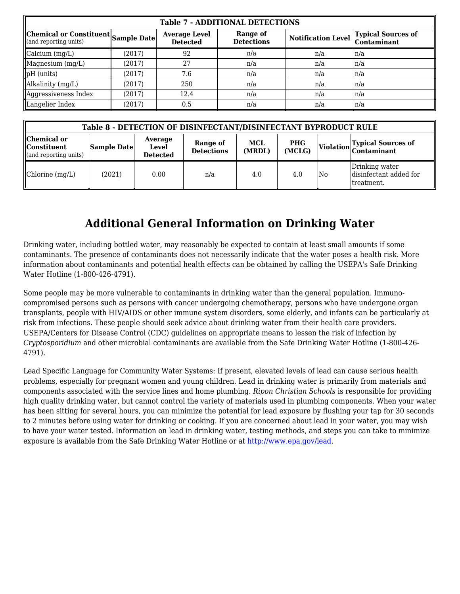|                                                              | <b>Table 7 - ADDITIONAL DETECTIONS</b> |                                         |                               |                           |                                                 |  |  |  |  |  |  |  |
|--------------------------------------------------------------|----------------------------------------|-----------------------------------------|-------------------------------|---------------------------|-------------------------------------------------|--|--|--|--|--|--|--|
| Chemical or Constituent Sample Date<br>(and reporting units) |                                        | <b>Average Level</b><br><b>Detected</b> | Range of<br><b>Detections</b> | <b>Notification Level</b> | <b>Typical Sources of</b><br><b>Contaminant</b> |  |  |  |  |  |  |  |
| $\alpha$ calcium $(mg/L)$                                    | (2017)                                 | 92                                      | n/a                           | n/a                       | ln/a                                            |  |  |  |  |  |  |  |
| Magnesium (mg/L)                                             | (2017)                                 | 27                                      | n/a                           | n/a                       | ln/a                                            |  |  |  |  |  |  |  |
| $\vert$ pH (units)                                           | (2017)                                 | 7.6                                     | n/a                           | n/a                       | ln/a                                            |  |  |  |  |  |  |  |
| Alkalinity (mg/L)                                            | (2017)                                 | 250                                     | n/a                           | n/a                       | ln/a                                            |  |  |  |  |  |  |  |
| Aggressiveness Index                                         | (2017)                                 | 12.4                                    | n/a                           | n/a                       | ln/a                                            |  |  |  |  |  |  |  |
| Langelier Index                                              | (2017)                                 | 0.5                                     | n/a                           | n/a                       | ln/a                                            |  |  |  |  |  |  |  |

|                                                                         | Table 8 - DETECTION OF DISINFECTANT/DISINFECTANT BYPRODUCT RULE |                                            |                               |               |                      |    |                                                         |  |  |  |  |
|-------------------------------------------------------------------------|-----------------------------------------------------------------|--------------------------------------------|-------------------------------|---------------|----------------------|----|---------------------------------------------------------|--|--|--|--|
| Chemical or<br><b>Constituent</b><br>$\mathbf{u}$ (and reporting units) | <b>Sample Date</b>                                              | Average<br><b>Level</b><br><b>Detected</b> | Range of<br><b>Detections</b> | MCL<br>(MRDL) | <b>PHG</b><br>(MCLG) |    | Violation Typical Sources of                            |  |  |  |  |
| Chlorine (mg/L)                                                         | (2021)                                                          | 0.00                                       | n/a                           | 4.0           | 4.0                  | No | Drinking water<br>disinfectant added for<br>ltreatment. |  |  |  |  |

# **Additional General Information on Drinking Water**

Drinking water, including bottled water, may reasonably be expected to contain at least small amounts if some contaminants. The presence of contaminants does not necessarily indicate that the water poses a health risk. More information about contaminants and potential health effects can be obtained by calling the USEPA's Safe Drinking Water Hotline (1-800-426-4791).

Some people may be more vulnerable to contaminants in drinking water than the general population. Immunocompromised persons such as persons with cancer undergoing chemotherapy, persons who have undergone organ transplants, people with HIV/AIDS or other immune system disorders, some elderly, and infants can be particularly at risk from infections. These people should seek advice about drinking water from their health care providers. USEPA/Centers for Disease Control (CDC) guidelines on appropriate means to lessen the risk of infection by *Cryptosporidium* and other microbial contaminants are available from the Safe Drinking Water Hotline (1-800-426- 4791).

Lead Specific Language for Community Water Systems: If present, elevated levels of lead can cause serious health problems, especially for pregnant women and young children. Lead in drinking water is primarily from materials and components associated with the service lines and home plumbing. *Ripon Christian Schools* is responsible for providing high quality drinking water, but cannot control the variety of materials used in plumbing components. When your water has been sitting for several hours, you can minimize the potential for lead exposure by flushing your tap for 30 seconds to 2 minutes before using water for drinking or cooking. If you a[re concerned about lead i](http://www.epa.gov/safewater/lead)n your water, you may wish to have your water tested. Information on lead in drinking water, testing methods, and steps you can take to minimize exposure is available from the Safe Drinking Water Hotline or at http://www.epa.gov/lead.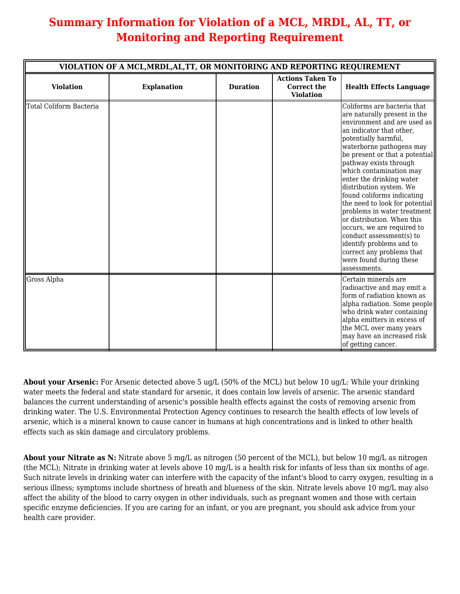# **Summary Information for Violation of a MCL, MRDL, AL, TT, or Monitoring and Reporting Requirement**

|                         | VIOLATION OF A MCL, MRDL, AL, TT, OR MONITORING AND REPORTING REQUIREMENT |                 |                                                                   |                                                                                                                                                                                                                                                                                                                                                                                                                                                                                                                                                                                                                     |
|-------------------------|---------------------------------------------------------------------------|-----------------|-------------------------------------------------------------------|---------------------------------------------------------------------------------------------------------------------------------------------------------------------------------------------------------------------------------------------------------------------------------------------------------------------------------------------------------------------------------------------------------------------------------------------------------------------------------------------------------------------------------------------------------------------------------------------------------------------|
| <b>Violation</b>        | <b>Explanation</b>                                                        | <b>Duration</b> | <b>Actions Taken To</b><br><b>Correct the</b><br><b>Violation</b> | <b>Health Effects Language</b>                                                                                                                                                                                                                                                                                                                                                                                                                                                                                                                                                                                      |
| Total Coliform Bacteria |                                                                           |                 |                                                                   | Coliforms are bacteria that<br>are naturally present in the<br>environment and are used as<br>an indicator that other,<br>potentially harmful,<br>waterborne pathogens may<br>be present or that a potential<br>pathway exists through<br>which contamination may<br>enter the drinking water<br>distribution system. We<br>found coliforms indicating<br>the need to look for potential<br>problems in water treatment<br>or distribution. When this<br>occurs, we are required to<br>conduct assessment(s) to<br>identify problems and to<br>correct any problems that<br>were found during these<br>assessments. |
| Gross Alpha             |                                                                           |                 |                                                                   | Certain minerals are<br>radioactive and may emit a<br>form of radiation known as<br>alpha radiation. Some people<br>who drink water containing<br>alpha emitters in excess of<br>the MCL over many years<br>may have an increased risk<br>of getting cancer.                                                                                                                                                                                                                                                                                                                                                        |

**About your Arsenic:** For Arsenic detected above 5 ug/L (50% of the MCL) but below 10 ug/L: While your drinking water meets the federal and state standard for arsenic, it does contain low levels of arsenic. The arsenic standard balances the current understanding of arsenic's possible health effects against the costs of removing arsenic from drinking water. The U.S. Environmental Protection Agency continues to research the health effects of low levels of arsenic, which is a mineral known to cause cancer in humans at high concentrations and is linked to other health effects such as skin damage and circulatory problems.

**About your Nitrate as N:** Nitrate above 5 mg/L as nitrogen (50 percent of the MCL), but below 10 mg/L as nitrogen (the MCL); Nitrate in drinking water at levels above 10 mg/L is a health risk for infants of less than six months of age. Such nitrate levels in drinking water can interfere with the capacity of the infant's blood to carry oxygen, resulting in a serious illness; symptoms include shortness of breath and blueness of the skin. Nitrate levels above 10 mg/L may also affect the ability of the blood to carry oxygen in other individuals, such as pregnant women and those with certain specific enzyme deficiencies. If you are caring for an infant, or you are pregnant, you should ask advice from your health care provider.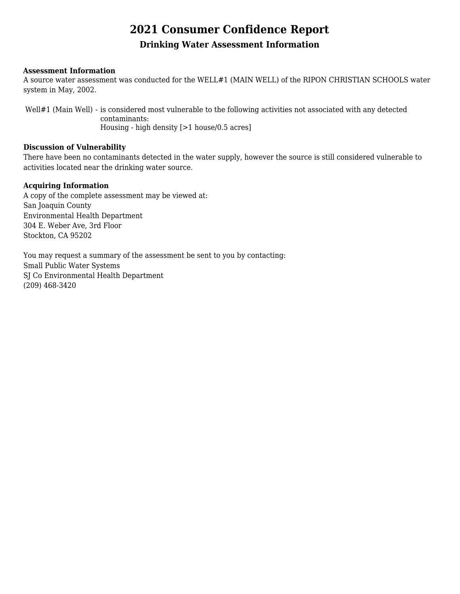# **2021 Consumer Confidence Report**

## **Drinking Water Assessment Information**

### **Assessment Information**

A source water assessment was conducted for the WELL#1 (MAIN WELL) of the RIPON CHRISTIAN SCHOOLS water system in May, 2002.

Well#1 (Main Well) - is considered most vulnerable to the following activities not associated with any detected contaminants: Housing - high density [>1 house/0.5 acres]

#### **Discussion of Vulnerability**

There have been no contaminants detected in the water supply, however the source is still considered vulnerable to activities located near the drinking water source.

### **Acquiring Information**

A copy of the complete assessment may be viewed at: San Joaquin County Environmental Health Department 304 E. Weber Ave, 3rd Floor Stockton, CA 95202

You may request a summary of the assessment be sent to you by contacting: Small Public Water Systems SJ Co Environmental Health Department (209) 468-3420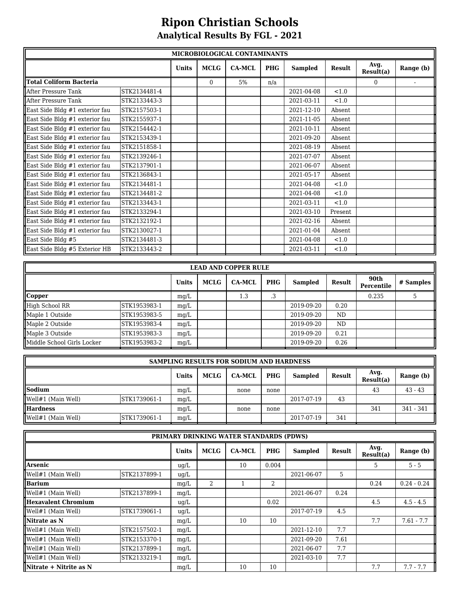# **Ripon Christian Schools Analytical Results By FGL - 2021**

|                                | MICROBIOLOGICAL CONTAMINANTS |              |             |               |            |                |               |                   |           |  |  |
|--------------------------------|------------------------------|--------------|-------------|---------------|------------|----------------|---------------|-------------------|-----------|--|--|
|                                |                              | <b>Units</b> | <b>MCLG</b> | <b>CA-MCL</b> | <b>PHG</b> | <b>Sampled</b> | <b>Result</b> | Avg.<br>Result(a) | Range (b) |  |  |
| Total Coliform Bacteria        |                              |              | $\Omega$    | 5%            | n/a        |                |               | $\Omega$          |           |  |  |
| After Pressure Tank            | STK2134481-4                 |              |             |               |            | 2021-04-08     | < 1.0         |                   |           |  |  |
| After Pressure Tank            | STK2133443-3                 |              |             |               |            | 2021-03-11     | < 1.0         |                   |           |  |  |
| East Side Bldg #1 exterior fau | STK2157503-1                 |              |             |               |            | 2021-12-10     | Absent        |                   |           |  |  |
| East Side Bldg #1 exterior fau | STK2155937-1                 |              |             |               |            | 2021-11-05     | Absent        |                   |           |  |  |
| East Side Bldg #1 exterior fau | STK2154442-1                 |              |             |               |            | 2021-10-11     | Absent        |                   |           |  |  |
| East Side Bldg #1 exterior fau | STK2153439-1                 |              |             |               |            | 2021-09-20     | Absent        |                   |           |  |  |
| East Side Bldg #1 exterior fau | STK2151858-1                 |              |             |               |            | 2021-08-19     | Absent        |                   |           |  |  |
| East Side Bldg #1 exterior fau | STK2139246-1                 |              |             |               |            | 2021-07-07     | Absent        |                   |           |  |  |
| East Side Bldg #1 exterior fau | STK2137901-1                 |              |             |               |            | 2021-06-07     | Absent        |                   |           |  |  |
| East Side Bldg #1 exterior fau | STK2136843-1                 |              |             |               |            | 2021-05-17     | Absent        |                   |           |  |  |
| East Side Bldg #1 exterior fau | STK2134481-1                 |              |             |               |            | 2021-04-08     | < 1.0         |                   |           |  |  |
| East Side Bldg #1 exterior fau | STK2134481-2                 |              |             |               |            | 2021-04-08     | < 1.0         |                   |           |  |  |
| East Side Bldg #1 exterior fau | STK2133443-1                 |              |             |               |            | 2021-03-11     | < 1.0         |                   |           |  |  |
| East Side Bldg #1 exterior fau | STK2133294-1                 |              |             |               |            | 2021-03-10     | Present       |                   |           |  |  |
| East Side Bldg #1 exterior fau | STK2132192-1                 |              |             |               |            | 2021-02-16     | Absent        |                   |           |  |  |
| East Side Bldg #1 exterior fau | STK2130027-1                 |              |             |               |            | 2021-01-04     | Absent        |                   |           |  |  |
| East Side Bldg #5              | STK2134481-3                 |              |             |               |            | 2021-04-08     | < 1.0         |                   |           |  |  |
| East Side Bldg #5 Exterior HB  | STK2133443-2                 |              |             |               |            | 2021-03-11     | < 1.0         |                   |           |  |  |

| <b>LEAD AND COPPER RULE</b> |               |              |             |               |            |                |               |                    |           |  |  |  |
|-----------------------------|---------------|--------------|-------------|---------------|------------|----------------|---------------|--------------------|-----------|--|--|--|
|                             |               | <b>Units</b> | <b>MCLG</b> | <b>CA-MCL</b> | <b>PHG</b> | <b>Sampled</b> | <b>Result</b> | 90th<br>Percentile | # Samples |  |  |  |
| Copper                      |               | mq/L         |             | 1.3           | د.         |                |               | 0.235              |           |  |  |  |
| High School RR              | STK1953983-1  | mg/L         |             |               |            | 2019-09-20     | 0.20          |                    |           |  |  |  |
| Maple 1 Outside             | STK1953983-5  | mg/L         |             |               |            | 2019-09-20     | ND            |                    |           |  |  |  |
| Maple 2 Outside             | ISTK1953983-4 | mq/L         |             |               |            | 2019-09-20     | ND            |                    |           |  |  |  |
| Maple 3 Outside             | STK1953983-3  | mg/L         |             |               |            | 2019-09-20     | 0.21          |                    |           |  |  |  |
| Middle School Girls Locker  | ISTK1953983-2 | mg/L         |             |               |            | 2019-09-20     | 0.26          |                    |           |  |  |  |

|                    | <b>SAMPLING RESULTS FOR SODIUM AND HARDNESS</b> |       |      |               |            |                |        |                   |                   |  |  |  |
|--------------------|-------------------------------------------------|-------|------|---------------|------------|----------------|--------|-------------------|-------------------|--|--|--|
|                    |                                                 | Units | MCLG | <b>CA-MCL</b> | <b>PHG</b> | <b>Sampled</b> | Result | Avg.<br>Result(a) | Range (b) $\vert$ |  |  |  |
| <b>Sodium</b>      |                                                 | mg/L  |      | none          | none       |                |        | 43                | $43 - 43$         |  |  |  |
| Well#1 (Main Well) | STK1739061-1                                    | mg/L  |      |               |            | 2017-07-19     | 43     |                   |                   |  |  |  |
| Hardness           |                                                 | mg/L  |      | none          | none       |                |        | 341               | $341 - 341$       |  |  |  |
| Well#1 (Main Well) | STK1739061-1                                    | mg/L  |      |               |            | 2017-07-19     | 341    |                   |                   |  |  |  |

| PRIMARY DRINKING WATER STANDARDS (PDWS) |              |              |             |               |            |                |        |                   |               |  |  |
|-----------------------------------------|--------------|--------------|-------------|---------------|------------|----------------|--------|-------------------|---------------|--|--|
|                                         |              | <b>Units</b> | <b>MCLG</b> | <b>CA-MCL</b> | <b>PHG</b> | <b>Sampled</b> | Result | Avg.<br>Result(a) | Range (b)     |  |  |
| llArsenic                               |              | ug/L         |             | 10            | 0.004      |                |        | 5.                | $5 - 5$       |  |  |
| Well#1 (Main Well)                      | STK2137899-1 | ug/L         |             |               |            | 2021-06-07     | 5      |                   |               |  |  |
| $\ $ Barium                             |              | mq/L         | 2           |               | 2          |                |        | 0.24              | $0.24 - 0.24$ |  |  |
| Well#1 (Main Well)                      | STK2137899-1 | mq/L         |             |               |            | 2021-06-07     | 0.24   |                   |               |  |  |
| Hexavalent Chromium                     |              | ug/L         |             |               | 0.02       |                |        | 4.5               | $4.5 - 4.5$   |  |  |
| Well#1 (Main Well)                      | STK1739061-1 | uq/L         |             |               |            | 2017-07-19     | 4.5    |                   |               |  |  |
| llNitrate as N                          |              | mq/L         |             | 10            | 10         |                |        | 7.7               | $7.61 - 7.7$  |  |  |
| Well#1 (Main Well)                      | STK2157502-1 | mq/L         |             |               |            | 2021-12-10     | 7.7    |                   |               |  |  |
| Well#1 (Main Well)                      | STK2153370-1 | mg/L         |             |               |            | 2021-09-20     | 7.61   |                   |               |  |  |
| Well#1 (Main Well)                      | STK2137899-1 | mg/L         |             |               |            | 2021-06-07     | 7.7    |                   |               |  |  |
| Well#1 (Main Well)                      | STK2133219-1 | mq/L         |             |               |            | 2021-03-10     | 7.7    |                   |               |  |  |
| Nitrate + Nitrite as N                  |              | mq/L         |             | 10            | 10         |                |        | 7.7               | $7.7 - 7.7$   |  |  |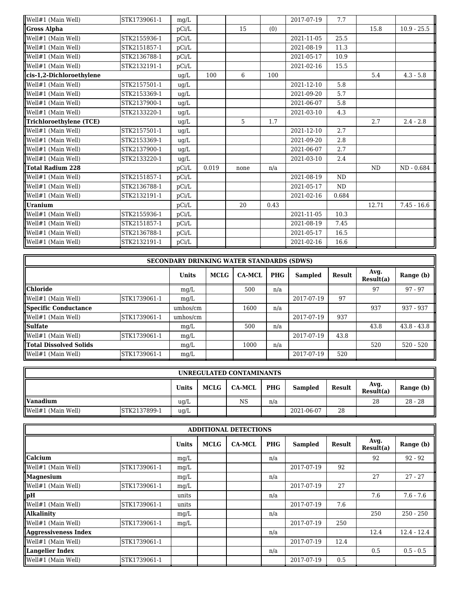| Well#1 (Main Well)          | STK1739061-1 | mq/L  |       |      |      | 2017-07-19 | 7.7       |           |               |
|-----------------------------|--------------|-------|-------|------|------|------------|-----------|-----------|---------------|
| Gross Alpha                 |              | pCi/L |       | 15   | (0)  |            |           | 15.8      | $10.9 - 25.5$ |
| <b>I</b> Well#1 (Main Well) | STK2155936-1 | pCi/L |       |      |      | 2021-11-05 | 25.5      |           |               |
| Well#1 (Main Well)          | STK2151857-1 | pCi/L |       |      |      | 2021-08-19 | 11.3      |           |               |
| Well#1 (Main Well)          | STK2136788-1 | pCi/L |       |      |      | 2021-05-17 | 10.9      |           |               |
| Well#1 (Main Well)          | STK2132191-1 | pCi/L |       |      |      | 2021-02-16 | 15.5      |           |               |
| cis-1,2-Dichloroethylene    |              | ug/L  | 100   | 6    | 100  |            |           | 5.4       | $4.3 - 5.8$   |
| Well#1 (Main Well)          | STK2157501-1 | ug/L  |       |      |      | 2021-12-10 | 5.8       |           |               |
| Well#1 (Main Well)          | STK2153369-1 | ug/L  |       |      |      | 2021-09-20 | 5.7       |           |               |
| Well#1 (Main Well)          | STK2137900-1 | ug/L  |       |      |      | 2021-06-07 | 5.8       |           |               |
| Well#1 (Main Well)          | STK2133220-1 | ug/L  |       |      |      | 2021-03-10 | 4.3       |           |               |
| Trichloroethylene (TCE)     |              | ug/L  |       | 5    | 1.7  |            |           | 2.7       | $2.4 - 2.8$   |
| Well#1 (Main Well)          | STK2157501-1 | ug/L  |       |      |      | 2021-12-10 | 2.7       |           |               |
| Well#1 (Main Well)          | STK2153369-1 | ug/L  |       |      |      | 2021-09-20 | 2.8       |           |               |
| Well#1 (Main Well)          | STK2137900-1 | ug/L  |       |      |      | 2021-06-07 | 2.7       |           |               |
| Well#1 (Main Well)          | STK2133220-1 | ug/L  |       |      |      | 2021-03-10 | 2.4       |           |               |
| llTotal Radium 228          |              | pCi/L | 0.019 | none | n/a  |            |           | <b>ND</b> | ND - 0.684    |
| Well#1 (Main Well)          | STK2151857-1 | pCi/L |       |      |      | 2021-08-19 | <b>ND</b> |           |               |
| Well#1 (Main Well)          | STK2136788-1 | pCi/L |       |      |      | 2021-05-17 | ND.       |           |               |
| Well#1 (Main Well)          | STK2132191-1 | pCi/L |       |      |      | 2021-02-16 | 0.684     |           |               |
| Uranium                     |              | pCi/L |       | 20   | 0.43 |            |           | 12.71     | $7.45 - 16.6$ |
| Well#1 (Main Well)          | STK2155936-1 | pCi/L |       |      |      | 2021-11-05 | 10.3      |           |               |
| Well#1 (Main Well)          | STK2151857-1 | pCi/L |       |      |      | 2021-08-19 | 7.45      |           |               |
| Well#1 (Main Well)          | STK2136788-1 | pCi/L |       |      |      | 2021-05-17 | 16.5      |           |               |
| Well#1 (Main Well)          | STK2132191-1 | pCi/L |       |      |      | 2021-02-16 | 16.6      |           |               |

| <b>SECONDARY DRINKING WATER STANDARDS (SDWS)</b> |              |              |      |               |            |            |        |                   |               |  |  |
|--------------------------------------------------|--------------|--------------|------|---------------|------------|------------|--------|-------------------|---------------|--|--|
|                                                  |              | <b>Units</b> | MCLG | <b>CA-MCL</b> | <b>PHG</b> | Sampled    | Result | Avg.<br>Result(a) | Range (b)     |  |  |
| <b>Chloride</b>                                  |              | mq/L         |      | 500           | n/a        |            |        | 97                | $97 - 97$     |  |  |
| Well#1 (Main Well)                               | STK1739061-1 | mq/L         |      |               |            | 2017-07-19 | 97     |                   |               |  |  |
| Specific Conductance                             |              | umhos/cm     |      | 1600          | n/a        |            |        | 937               | 937 - 937     |  |  |
| Well#1 (Main Well)                               | STK1739061-1 | umhos/cm     |      |               |            | 2017-07-19 | 937    |                   |               |  |  |
| <b>Sulfate</b>                                   |              | mq/L         |      | 500           | n/a        |            |        | 43.8              | $43.8 - 43.8$ |  |  |
| Well#1 (Main Well)                               | STK1739061-1 | mg/L         |      |               |            | 2017-07-19 | 43.8   |                   |               |  |  |
| <b>Total Dissolved Solids</b>                    |              | mq/L         |      | 1000          | n/a        |            |        | 520               | $520 - 520$   |  |  |
| Well#1 (Main Well)                               | STK1739061-1 | mg/L         |      |               |            | 2017-07-19 | 520    |                   |               |  |  |

| UNREGULATED CONTAMINANTS           |              |              |      |               |            |                |        |                   |                   |  |
|------------------------------------|--------------|--------------|------|---------------|------------|----------------|--------|-------------------|-------------------|--|
|                                    |              | <b>Units</b> | MCLG | <b>CA-MCL</b> | <b>PHG</b> | <b>Sampled</b> | Result | Avg.<br>Result(a) | Range (b) $\vert$ |  |
| llVanadium                         |              | ug/L         |      | <b>NS</b>     | n/a        |                |        | 28                | $28 - 28$         |  |
| $\sqrt{\text{Well#1}}$ (Main Well) | STK2137899-1 | ug/L         |      |               |            | 2021-06-07     | 28     |                   |                   |  |

| <b>ADDITIONAL DETECTIONS</b>       |              |       |             |               |            |                |        |                   |               |  |  |
|------------------------------------|--------------|-------|-------------|---------------|------------|----------------|--------|-------------------|---------------|--|--|
|                                    |              | Units | <b>MCLG</b> | <b>CA-MCL</b> | <b>PHG</b> | <b>Sampled</b> | Result | Avg.<br>Result(a) | Range (b)     |  |  |
| llCalcium                          |              | mq/L  |             |               | n/a        |                |        | 92                | $92 - 92$     |  |  |
| $\sqrt{\text{Well#1}}$ (Main Well) | STK1739061-1 | mg/L  |             |               |            | 2017-07-19     | 92     |                   |               |  |  |
| Magnesium                          |              | mg/L  |             |               | n/a        |                |        | 27                | $27 - 27$     |  |  |
| $\sqrt{\text{Well#1}}$ (Main Well) | STK1739061-1 | mq/L  |             |               |            | 2017-07-19     | 27     |                   |               |  |  |
| $\ _{pH}$                          |              | units |             |               | n/a        |                |        | 7.6               | $7.6 - 7.6$   |  |  |
| $\sqrt{\text{Well#1}}$ (Main Well) | STK1739061-1 | units |             |               |            | 2017-07-19     | 7.6    |                   |               |  |  |
| Alkalinity                         |              | mg/L  |             |               | n/a        |                |        | 250               | $250 - 250$   |  |  |
| Well#1 (Main Well)                 | STK1739061-1 | mg/L  |             |               |            | 2017-07-19     | 250    |                   |               |  |  |
| Aggressiveness Index               |              |       |             |               | n/a        |                |        | 12.4              | $12.4 - 12.4$ |  |  |
| $\sqrt{\text{Well#1}}$ (Main Well) | STK1739061-1 |       |             |               |            | 2017-07-19     | 12.4   |                   |               |  |  |
| Langelier Index                    |              |       |             |               | n/a        |                |        | 0.5               | $0.5 - 0.5$   |  |  |
| $\sqrt{\text{Well#1}}$ (Main Well) | STK1739061-1 |       |             |               |            | 2017-07-19     | 0.5    |                   |               |  |  |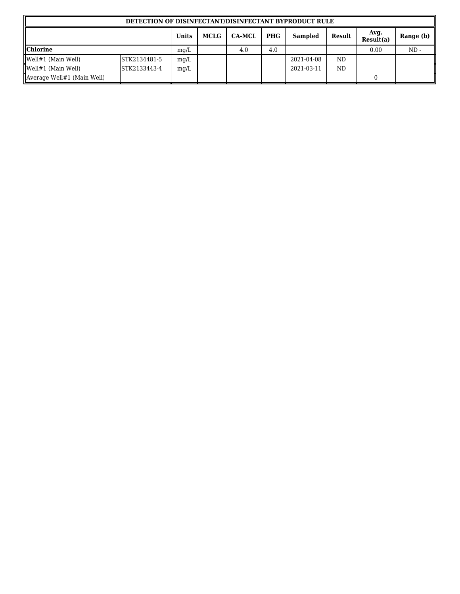| DETECTION OF DISINFECTANT/DISINFECTANT BYPRODUCT RULE |              |              |             |               |            |            |           |                   |           |  |  |
|-------------------------------------------------------|--------------|--------------|-------------|---------------|------------|------------|-----------|-------------------|-----------|--|--|
|                                                       |              | <b>Units</b> | <b>MCLG</b> | <b>CA-MCL</b> | <b>PHG</b> | Sampled    | Result    | Avg.<br>Result(a) | Range (b) |  |  |
| <b>Chlorine</b>                                       |              | mg/L         |             | 4.0           | 4.0        |            |           | 0.00              | $ND -$    |  |  |
| Well#1 (Main Well)                                    | STK2134481-5 | mq/L         |             |               |            | 2021-04-08 | <b>ND</b> |                   |           |  |  |
| $\sqrt{\text{Well#1}}$ (Main Well)                    | STK2133443-4 | mq/L         |             |               |            | 2021-03-11 | <b>ND</b> |                   |           |  |  |
| Average Well#1 (Main Well)                            |              |              |             |               |            |            |           |                   |           |  |  |